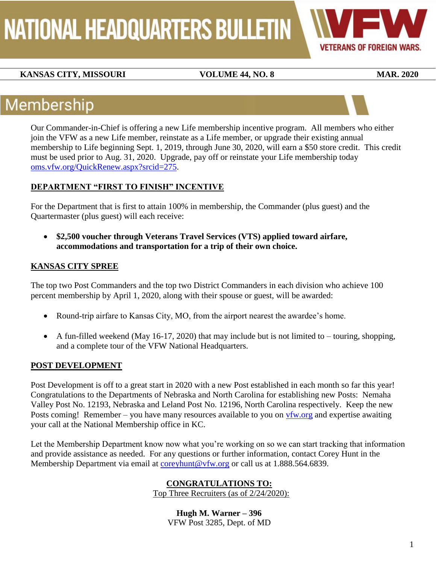**NATIONAL HEADQUARTERS BULLETIN** 

**VETERANS OF FOREIGN WARS.** 

### **KANSAS CITY, MISSOURI VOLUME 44, NO. 8** MAR. 2020

# Membership

Our Commander-in-Chief is offering a new Life membership incentive program. All members who either join the VFW as a new Life member, reinstate as a Life member, or upgrade their existing annual membership to Life beginning Sept. 1, 2019, through June 30, 2020, will earn a \$50 store credit. This credit must be used prior to Aug. 31, 2020. Upgrade, pay off or reinstate your Life membership today [oms.vfw.org/QuickRenew.aspx?srcid=275.](file://///SVFILE/VFWdept/Membership/HQbulletin/HQ%20bulletin%20drafts/oms.vfw.org/QuickRenew.aspx%3fsrcid=275)

### **DEPARTMENT "FIRST TO FINISH" INCENTIVE**

For the Department that is first to attain 100% in membership, the Commander (plus guest) and the Quartermaster (plus guest) will each receive:

 **\$2,500 voucher through Veterans Travel Services (VTS) applied toward airfare, accommodations and transportation for a trip of their own choice.**

### **KANSAS CITY SPREE**

The top two Post Commanders and the top two District Commanders in each division who achieve 100 percent membership by April 1, 2020, along with their spouse or guest, will be awarded:

- Round-trip airfare to Kansas City, MO, from the airport nearest the awardee's home.
- A fun-filled weekend (May 16-17, 2020) that may include but is not limited to touring, shopping, and a complete tour of the VFW National Headquarters.

### **POST DEVELOPMENT**

Post Development is off to a great start in 2020 with a new Post established in each month so far this year! Congratulations to the Departments of Nebraska and North Carolina for establishing new Posts: Nemaha Valley Post No. 12193, Nebraska and Leland Post No. 12196, North Carolina respectively. Keep the new Posts coming! Remember – you have many resources available to you on [vfw.org](MEM-FEB%202020.docx) and expertise awaiting your call at the National Membership office in KC.

Let the Membership Department know now what you're working on so we can start tracking that information and provide assistance as needed. For any questions or further information, contact Corey Hunt in the Membership Department via email at [coreyhunt@vfw.org](coreyhunt@vfw.org%20) or call us at 1.888.564.6839.

### **CONGRATULATIONS TO:**

Top Three Recruiters (as of 2/24/2020):

**Hugh M. Warner – 396** VFW Post 3285, Dept. of MD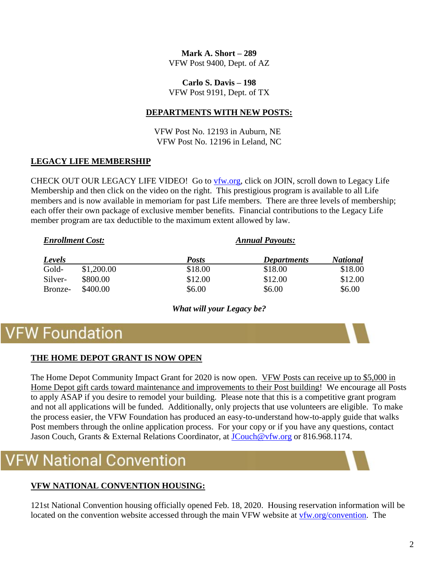**Mark A. Short – 289** VFW Post 9400, Dept. of AZ

**Carlo S. Davis – 198**

VFW Post 9191, Dept. of TX

### **DEPARTMENTS WITH NEW POSTS:**

VFW Post No. 12193 in Auburn, NE VFW Post No. 12196 in Leland, NC

### **LEGACY LIFE MEMBERSHIP**

CHECK OUT OUR LEGACY LIFE VIDEO! Go to [vfw.org,](http://www.vfw.org/) click on JOIN, scroll down to Legacy Life Membership and then click on the video on the right. This prestigious program is available to all Life members and is now available in memoriam for past Life members. There are three levels of membership; each offer their own package of exclusive member benefits. Financial contributions to the Legacy Life member program are tax deductible to the maximum extent allowed by law.

| <b>Enrollment Cost:</b> |            | <b>Annual Payouts:</b> |                    |                 |
|-------------------------|------------|------------------------|--------------------|-----------------|
| Levels                  |            | <b>Posts</b>           | <b>Departments</b> | <b>National</b> |
| Gold-                   | \$1,200.00 | \$18.00                | \$18.00            | \$18.00         |
| Silver-                 | \$800.00   | \$12.00                | \$12.00            | \$12.00         |
| Bronze-                 | \$400.00   | \$6.00                 | \$6.00             | \$6.00          |

*What will your Legacy be?*

# **VFW Foundation**

### **THE HOME DEPOT GRANT IS NOW OPEN**

The Home Depot Community Impact Grant for 2020 is now open. VFW Posts can receive up to \$5,000 in Home Depot gift cards toward maintenance and improvements to their Post building! We encourage all Posts to apply ASAP if you desire to remodel your building. Please note that this is a competitive grant program and not all applications will be funded. Additionally, only projects that use volunteers are eligible. To make the process easier, the VFW Foundation has produced an easy-to-understand how-to-apply guide that walks Post members through the online application process. For your copy or if you have any questions, contact Jason Couch, Grants & External Relations Coordinator, at **JCouch@vfw.org** or 816.968.1174.

# **W** National Convention

### **VFW NATIONAL CONVENTION HOUSING:**

121st National Convention housing officially opened Feb. 18, 2020. Housing reservation information will be located on the convention website accessed through the main VFW website at [vfw.org/convention.](http://www.vfw.org/convention) The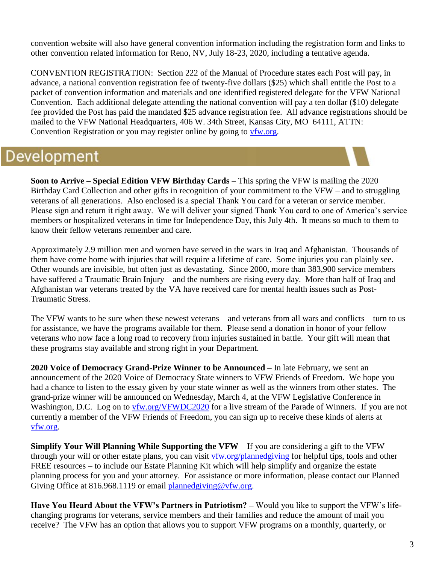convention website will also have general convention information including the registration form and links to other convention related information for Reno, NV, July 18-23, 2020, including a tentative agenda.

CONVENTION REGISTRATION: Section 222 of the Manual of Procedure states each Post will pay, in advance, a national convention registration fee of twenty-five dollars (\$25) which shall entitle the Post to a packet of convention information and materials and one identified registered delegate for the VFW National Convention. Each additional delegate attending the national convention will pay a ten dollar (\$10) delegate fee provided the Post has paid the mandated \$25 advance registration fee. All advance registrations should be mailed to the VFW National Headquarters, 406 W. 34th Street, Kansas City, MO 64111, ATTN: Convention Registration or you may register online by going to [vfw.org.](http://www.vfw.org/)

# Development

**Soon to Arrive – Special Edition VFW Birthday Cards** – This spring the VFW is mailing the 2020 Birthday Card Collection and other gifts in recognition of your commitment to the VFW – and to struggling veterans of all generations. Also enclosed is a special Thank You card for a veteran or service member. Please sign and return it right away. We will deliver your signed Thank You card to one of America's service members or hospitalized veterans in time for Independence Day, this July 4th. It means so much to them to know their fellow veterans remember and care.

Approximately 2.9 million men and women have served in the wars in Iraq and Afghanistan. Thousands of them have come home with injuries that will require a lifetime of care. Some injuries you can plainly see. Other wounds are invisible, but often just as devastating. Since 2000, more than 383,900 service members have suffered a Traumatic Brain Injury – and the numbers are rising every day. More than half of Iraq and Afghanistan war veterans treated by the VA have received care for mental health issues such as Post-Traumatic Stress.

The VFW wants to be sure when these newest veterans – and veterans from all wars and conflicts – turn to us for assistance, we have the programs available for them. Please send a donation in honor of your fellow veterans who now face a long road to recovery from injuries sustained in battle. Your gift will mean that these programs stay available and strong right in your Department.

**2020 Voice of Democracy Grand-Prize Winner to be Announced –** In late February, we sent an announcement of the 2020 Voice of Democracy State winners to VFW Friends of Freedom. We hope you had a chance to listen to the essay given by your state winner as well as the winners from other states. The grand-prize winner will be announced on Wednesday, March 4, at the VFW Legislative Conference in Washington, D.C. Log on to [vfw.org/VFWDC2020](https://www.vfw.org/VFWDC2020) for a live stream of the Parade of Winners. If you are not currently a member of the VFW Friends of Freedom, you can sign up to receive these kinds of alerts at [vfw.org.](http://www.vfw.org/)

**Simplify Your Will Planning While Supporting the VFW** – If you are considering a gift to the VFW through your will or other estate plans, you can visit [vfw.org/plannedgiving](http://www.vfw.org/plannedgiving) for helpful tips, tools and other FREE resources – to include our Estate Planning Kit which will help simplify and organize the estate planning process for you and your attorney. For assistance or more information, please contact our Planned Giving Office at 816.968.1119 or email [plannedgiving@vfw.org.](mailto:plannedgiving@vfw.org)

**Have You Heard About the VFW's Partners in Patriotism? –** Would you like to support the VFW's lifechanging programs for veterans, service members and their families and reduce the amount of mail you receive? The VFW has an option that allows you to support VFW programs on a monthly, quarterly, or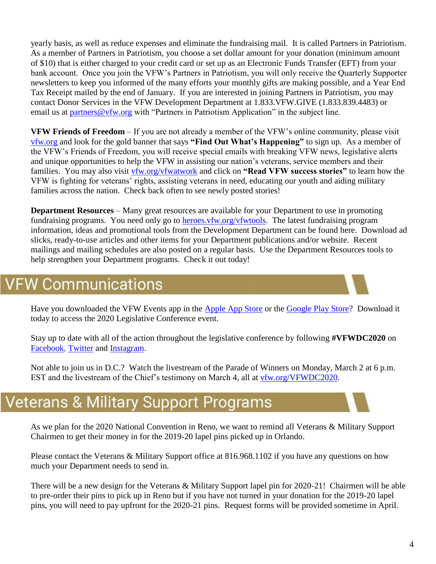yearly basis, as well as reduce expenses and eliminate the fundraising mail. It is called Partners in Patriotism. As a member of Partners in Patriotism, you choose a set dollar amount for your donation (minimum amount of \$10) that is either charged to your credit card or set up as an Electronic Funds Transfer (EFT) from your bank account. Once you join the VFW's Partners in Patriotism, you will only receive the Quarterly Supporter newsletters to keep you informed of the many efforts your monthly gifts are making possible, and a Year End Tax Receipt mailed by the end of January. If you are interested in joining Partners in Patriotism, you may contact Donor Services in the VFW Development Department at 1.833.VFW.GIVE (1.833.839.4483) or email us at [partners@vfw.org](mailto:partners@vfw.org) with "Partners in Patriotism Application" in the subject line.

**VFW Friends of Freedom** – If you are not already a member of the VFW's online community, please visit [vfw.org](http://www.vfw.org/) and look for the gold banner that says **"Find Out What's Happening"** to sign up. As a member of the VFW's Friends of Freedom, you will receive special emails with breaking VFW news, legislative alerts and unique opportunities to help the VFW in assisting our nation's veterans, service members and their families. You may also visit [vfw.org/vfwatwork](http://www.vfw.org/vfwatwork) and click on **"Read VFW success stories"** to learn how the VFW is fighting for veterans' rights, assisting veterans in need, educating our youth and aiding military families across the nation. Check back often to see newly posted stories!

**Department Resources** – Many great resources are available for your Department to use in promoting fundraising programs. You need only go to [heroes.vfw.org/vfwtools.](http://heroes.vfw.org/vfwtools) The latest fundraising program information, ideas and promotional tools from the Development Department can be found here. Download ad slicks, ready-to-use articles and other items for your Department publications and/or website. Recent mailings and mailing schedules are also posted on a regular basis. Use the Department Resources tools to help strengthen your Department programs. Check it out today!

## **VFW Communications**

Have you downloaded the VFW Events app in the [Apple App Store](https://itunes.apple.com/us/app/vfw-events/id1450852570?mt=8) or the [Google Play Store?](https://play.google.com/store/apps/details?id=com.vfw.vfwevents) Download it today to access the 2020 Legislative Conference event.

Stay up to date with all of the action throughout the legislative conference by following **#VFWDC2020** on [Facebook,](http://www.facebook.com/VFWFans) [Twitter](http://www.twitter.com/VFWHQ) and [Instagram.](http://www.instagram.com/VFWHQ)

Not able to join us in D.C.? Watch the livestream of the Parade of Winners on Monday, March 2 at 6 p.m. EST and the livestream of the Chief's testimony on March 4, all at [vfw.org/VFWDC2020.](http://www.vfw.org/VFWDC2020)

# **Veterans & Military Support Programs**

As we plan for the 2020 National Convention in Reno, we want to remind all Veterans & Military Support Chairmen to get their money in for the 2019-20 lapel pins picked up in Orlando.

Please contact the Veterans & Military Support office at 816.968.1102 if you have any questions on how much your Department needs to send in.

There will be a new design for the Veterans & Military Support lapel pin for 2020-21! Chairmen will be able to pre-order their pins to pick up in Reno but if you have not turned in your donation for the 2019-20 lapel pins, you will need to pay upfront for the 2020-21 pins. Request forms will be provided sometime in April.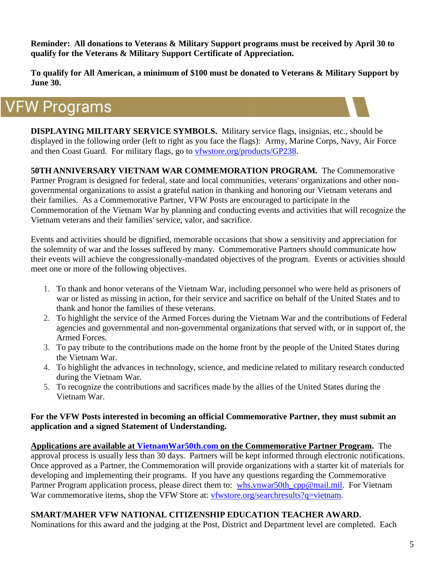**Reminder: All donations to Veterans & Military Support programs must be received by April 30 to qualify for the Veterans & Military Support Certificate of Appreciation.** 

**To qualify for All American, a minimum of \$100 must be donated to Veterans & Military Support by June 30.** 

# **VFW Programs**

**DISPLAYING MILITARY SERVICE SYMBOLS.** Military service flags, insignias, etc., should be displayed in the following order (left to right as you face the flags): Army, Marine Corps, Navy, Air Force and then Coast Guard. For military flags, go to [vfwstore.org/products/GP238.](http://www.vfwstore.org/products/GP238)

**50TH ANNIVERSARY VIETNAM WAR COMMEMORATION PROGRAM.** The Commemorative Partner Program is designed for federal, state and local communities, veterans' organizations and other nongovernmental organizations to assist a grateful nation in thanking and honoring our Vietnam veterans and their families. As a Commemorative Partner, VFW Posts are encouraged to participate in the Commemoration of the Vietnam War by planning and conducting events and activities that will recognize the Vietnam veterans and their families' service, valor, and sacrifice.

Events and activities should be dignified, memorable occasions that show a sensitivity and appreciation for the solemnity of war and the losses suffered by many. Commemorative Partners should communicate how their events will achieve the congressionally-mandated objectives of the program. Events or activities should meet one or more of the following objectives.

- 1. To thank and honor veterans of the Vietnam War, including personnel who were held as prisoners of war or listed as missing in action, for their service and sacrifice on behalf of the United States and to thank and honor the families of these veterans.
- 2. To highlight the service of the Armed Forces during the Vietnam War and the contributions of Federal agencies and governmental and non-governmental organizations that served with, or in support of, the Armed Forces.
- 3. To pay tribute to the contributions made on the home front by the people of the United States during the Vietnam War.
- 4. To highlight the advances in technology, science, and medicine related to military research conducted during the Vietnam War.
- 5. To recognize the contributions and sacrifices made by the allies of the United States during the Vietnam War.

#### **For the VFW Posts interested in becoming an official Commemorative Partner, they must submit an application and a signed Statement of Understanding.**

**Applications are available at [VietnamWar50th.com](http://www.vietnamwar50th.com/) on the Commemorative Partner Program.** The approval process is usually less than 30 days. Partners will be kept informed through electronic notifications. Once approved as a Partner, the Commemoration will provide organizations with a starter kit of materials for developing and implementing their programs. If you have any questions regarding the Commemorative Partner Program application process, please direct them to: [whs.vnwar50th\\_cpp@mail.mil.](mailto:whs.vnwar50th_cpp@mail.mil) For Vietnam War commemorative items, shop the VFW Store at: [vfwstore.org/searchresults?q=vietnam.](http://www.vfwstore.org/searchresults?q=vietnam)

### **SMART/MAHER VFW NATIONAL CITIZENSHIP EDUCATION TEACHER AWARD.**

Nominations for this award and the judging at the Post, District and Department level are completed. Each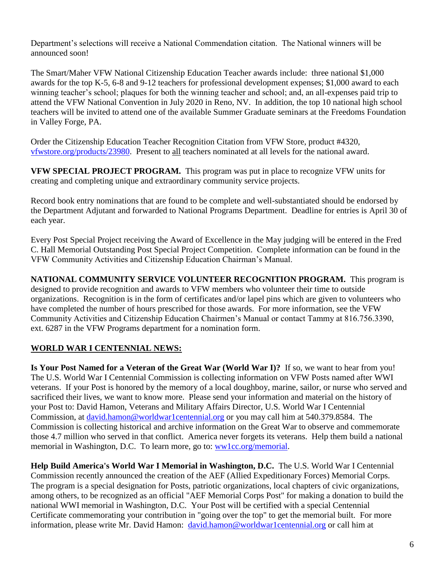Department's selections will receive a National Commendation citation. The National winners will be announced soon!

The Smart/Maher VFW National Citizenship Education Teacher awards include: three national \$1,000 awards for the top K-5, 6-8 and 9-12 teachers for professional development expenses; \$1,000 award to each winning teacher's school; plaques for both the winning teacher and school; and, an all-expenses paid trip to attend the VFW National Convention in July 2020 in Reno, NV. In addition, the top 10 national high school teachers will be invited to attend one of the available Summer Graduate seminars at the Freedoms Foundation in Valley Forge, PA.

Order the Citizenship Education Teacher Recognition Citation from VFW Store, product #4320, [vfwstore.org/products/23980.](http://www.vfwstore.org/products/23980) Present to all teachers nominated at all levels for the national award.

**VFW SPECIAL PROJECT PROGRAM.** This program was put in place to recognize VFW units for creating and completing unique and extraordinary community service projects.

Record book entry nominations that are found to be complete and well-substantiated should be endorsed by the Department Adjutant and forwarded to National Programs Department. Deadline for entries is April 30 of each year.

Every Post Special Project receiving the Award of Excellence in the May judging will be entered in the Fred C. Hall Memorial Outstanding Post Special Project Competition. Complete information can be found in the VFW Community Activities and Citizenship Education Chairman's Manual.

**NATIONAL COMMUNITY SERVICE VOLUNTEER RECOGNITION PROGRAM.** This program is designed to provide recognition and awards to VFW members who volunteer their time to outside organizations. Recognition is in the form of certificates and/or lapel pins which are given to volunteers who have completed the number of hours prescribed for those awards. For more information, see the VFW Community Activities and Citizenship Education Chairmen's Manual or contact Tammy at 816.756.3390, ext. 6287 in the VFW Programs department for a nomination form.

### **WORLD WAR I CENTENNIAL NEWS:**

**Is Your Post Named for a Veteran of the Great War (World War I)?** If so, we want to hear from you! The U.S. World War I Centennial Commission is collecting information on VFW Posts named after WWI veterans. If your Post is honored by the memory of a local doughboy, marine, sailor, or nurse who served and sacrificed their lives, we want to know more. Please send your information and material on the history of your Post to: David Hamon, Veterans and Military Affairs Director, U.S. World War I Centennial Commission, at [david.hamon@worldwar1centennial.org](mailto:david.hamon@worldwar1centennial.org) or you may call him at 540.379.8584. The Commission is collecting historical and archive information on the Great War to observe and commemorate those 4.7 million who served in that conflict. America never forgets its veterans. Help them build a national memorial in Washington, D.C. To learn more, go to: [ww1cc.org/memorial.](http://ww1cc.org/memorial)

**Help Build America's World War I Memorial in Washington, D.C.** The U.S. World War I Centennial Commission recently announced the creation of the AEF (Allied Expeditionary Forces) Memorial Corps. The program is a special designation for Posts, patriotic organizations, local chapters of civic organizations, among others, to be recognized as an official "AEF Memorial Corps Post" for making a donation to build the national WWI memorial in Washington, D.C. Your Post will be certified with a special Centennial Certificate commemorating your contribution in "going over the top" to get the memorial built. For more information, please write Mr. David Hamon: [david.hamon@worldwar1centennial.org](mailto:david.hamon@worldwar1centennial.org) or call him at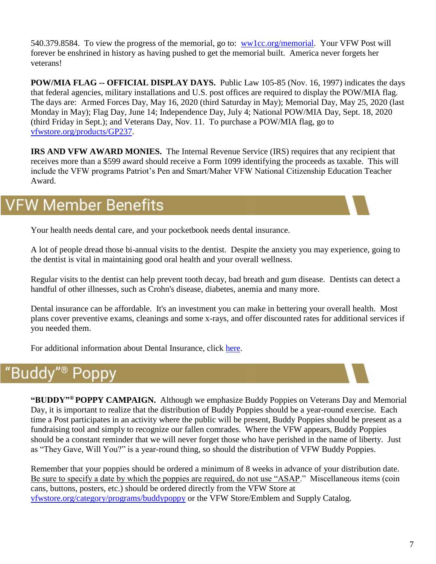540.379.8584. To view the progress of the memorial, go to: [ww1cc.org/memorial.](http://ww1cc.org/memorial) Your VFW Post will forever be enshrined in history as having pushed to get the memorial built. America never forgets her veterans!

**POW/MIA FLAG -- OFFICIAL DISPLAY DAYS.** Public Law 105-85 (Nov. 16, 1997) indicates the days that federal agencies, military installations and U.S. post offices are required to display the POW/MIA flag. The days are: Armed Forces Day, May 16, 2020 (third Saturday in May); Memorial Day, May 25, 2020 (last Monday in May); Flag Day, June 14; Independence Day, July 4; National POW/MIA Day, Sept. 18, 2020 (third Friday in Sept.); and Veterans Day, Nov. 11. To purchase a POW/MIA flag, go to [vfwstore.org/products/GP237.](http://www.vfwstore.org/products/GP237)

**IRS AND VFW AWARD MONIES.** The Internal Revenue Service (IRS) requires that any recipient that receives more than a \$599 award should receive a Form 1099 identifying the proceeds as taxable. This will include the VFW programs Patriot's Pen and Smart/Maher VFW National Citizenship Education Teacher Award.

# VFW Member Benefits

Your health needs dental care, and your pocketbook needs dental insurance.

A lot of people dread those bi-annual visits to the dentist. Despite the anxiety you may experience, going to the dentist is vital in maintaining good oral health and your overall wellness.

Regular visits to the dentist can help prevent tooth decay, bad breath and gum disease. Dentists can detect a handful of other illnesses, such as Crohn's disease, diabetes, anemia and many more.

Dental insurance can be affordable. It's an investment you can make in bettering your overall health. Most plans cover preventive exams, cleanings and some x-rays, and offer discounted rates for additional services if you needed them.

For additional information about Dental Insurance, click [here.](https://vfwinsurance.com/healthcare/#dental)

# "Buddy

**"BUDDY"® POPPY CAMPAIGN.** Although we emphasize Buddy Poppies on Veterans Day and Memorial Day, it is important to realize that the distribution of Buddy Poppies should be a year-round exercise. Each time a Post participates in an activity where the public will be present, Buddy Poppies should be present as a fundraising tool and simply to recognize our fallen comrades. Where the VFW appears, Buddy Poppies should be a constant reminder that we will never forget those who have perished in the name of liberty. Just as "They Gave, Will You?" is a year-round thing, so should the distribution of VFW Buddy Poppies.

Remember that your poppies should be ordered a minimum of 8 weeks in advance of your distribution date. Be sure to specify a date by which the poppies are required, do not use "ASAP." Miscellaneous items (coin cans, buttons, posters, etc.) should be ordered directly from the VFW Store at [vfwstore.org/category/programs/buddypoppy](https://www.vfwstore.org/category/programs/buddypoppy) or the VFW Store/Emblem and Supply Catalog.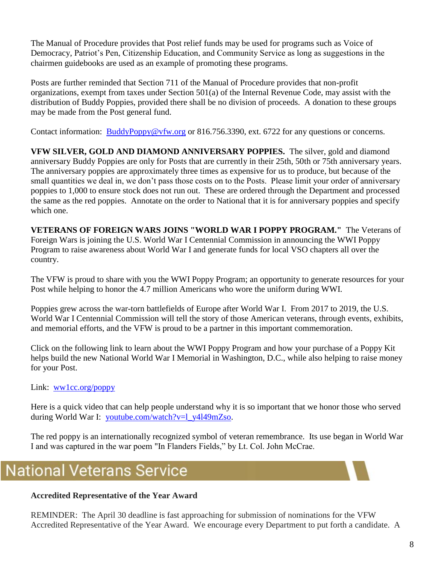The Manual of Procedure provides that Post relief funds may be used for programs such as Voice of Democracy, Patriot's Pen, Citizenship Education, and Community Service as long as suggestions in the chairmen guidebooks are used as an example of promoting these programs.

Posts are further reminded that Section 711 of the Manual of Procedure provides that non-profit organizations, exempt from taxes under Section 501(a) of the Internal Revenue Code, may assist with the distribution of Buddy Poppies, provided there shall be no division of proceeds. A donation to these groups may be made from the Post general fund.

Contact information: **[BuddyPoppy@vfw.org](mailto:BuddyPoppy@vfw.org)** or 816.756.3390, ext. 6722 for any questions or concerns.

**VFW SILVER, GOLD AND DIAMOND ANNIVERSARY POPPIES.** The silver, gold and diamond anniversary Buddy Poppies are only for Posts that are currently in their 25th, 50th or 75th anniversary years. The anniversary poppies are approximately three times as expensive for us to produce, but because of the small quantities we deal in, we don't pass those costs on to the Posts. Please limit your order of anniversary poppies to 1,000 to ensure stock does not run out. These are ordered through the Department and processed the same as the red poppies. Annotate on the order to National that it is for anniversary poppies and specify which one.

**VETERANS OF FOREIGN WARS JOINS "WORLD WAR I POPPY PROGRAM."** The Veterans of Foreign Wars is joining the U.S. World War I Centennial Commission in announcing the WWI Poppy Program to raise awareness about World War I and generate funds for local VSO chapters all over the country.

The VFW is proud to share with you the WWI Poppy Program; an opportunity to generate resources for your Post while helping to honor the 4.7 million Americans who wore the uniform during WWI.

Poppies grew across the war-torn battlefields of Europe after World War I. From 2017 to 2019, the U.S. World War I Centennial Commission will tell the story of those American veterans, through events, exhibits, and memorial efforts, and the VFW is proud to be a partner in this important commemoration.

Click on the following link to learn about the WWI Poppy Program and how your purchase of a Poppy Kit helps build the new National World War I Memorial in Washington, D.C., while also helping to raise money for your Post.

### Link: [ww1cc.org/poppy](http://ww1cc.org/poppy)

Here is a quick video that can help people understand why it is so important that we honor those who served during World War I: [youtube.com/watch?v=l\\_y4l49mZso.](https://www.youtube.com/watch?v=l_y4l49mZso)

The red poppy is an internationally recognized symbol of veteran remembrance. Its use began in World War I and was captured in the war poem "In Flanders Fields," by Lt. Col. John McCrae.

# **National Veterans Service**

### **Accredited Representative of the Year Award**

REMINDER: The April 30 deadline is fast approaching for submission of nominations for the VFW Accredited Representative of the Year Award. We encourage every Department to put forth a candidate. A